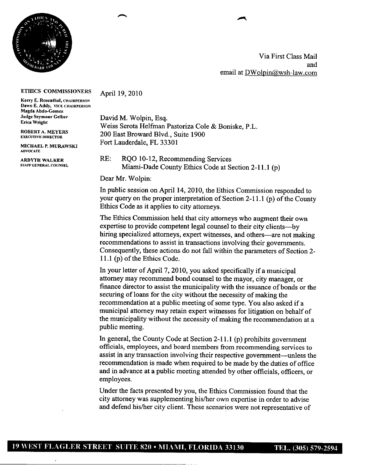

Via First Class Mail and email at  $DW{\text{olpin}(a)}$ wsh-law.com

p

## **ETHICS COMMISSIONERS** April 19, 2010

**Kerry E. Rosenthal, CHAIRPERSON Dawn E. Addy, VICE CHAIRPERSON Magda Abdo-Gomez Judge Seymour Gelber** David M. Wolpin, Esq.

**EXECUTIVE DIRECTOR** 

**ADVOCATE**

Erica Wighthan Weiss Serota Helfman Pastoriza Cole & Boniske, P.L.<br>ROBERTA. MEYERS 200 Fast Presumed Plate, Suite 1999 200 East Broward Blvd., Suite 1900 **MICHAEL P. MURAWSKI** Fort Lauderdale, FL 33301

**ARDYTH WALKER RE:** RQO 10-12, Recommending Services<br>
Minni Dode County Ethios Code at S **Miami-Dade County Ethics Code at Section 2-11.1 (p)** 

Dear Mr. Wolpin:

In public session on April 14, 2010, the Ethics Commission responded to your query on the proper interpretation of Section 2-11.1  $(p)$  of the County Ethics Code as it applies to city attorneys.

The Ethics Commission held that city attorneys who augment their own expertise to provide competent legal counsel to their city clients-by hiring specialized attorneys, expert witnesses, and others—are not making recommendations to assist in transactions involving their governments. Consequently, these actions do not fall within the parameters of Section 2- 11.1 (p) of the Ethics Code.

In your letter of April 7,2010, you asked specifically if <sup>a</sup> municipal attorney may recommend bond counsel to the mayor, city manager, or finance director to assist the municipality with the issuance of bonds or the securing of loans for the city without the necessity of making the recommendation at a public meeting of some type. You also asked if a municipal attorney may retain expert witnesses for litigation on behalf of the municipality without the necessity of making the recommendation at a public meeting.

In general, the County Code at Section  $2-11.1$  (p) prohibits government officials, employees, and board members from recommending services to assist in any transaction involving their respective government-unless the recommendation is made when required to be made by the duties of office and in advance at a public meeting attended by other officials, officers, or employees.

Under the facts presented by you, the Ethics Commission found that the city attorney was supplementing his/her own expertise in order to advise and defend his/her city client. These scenarios were not representative of